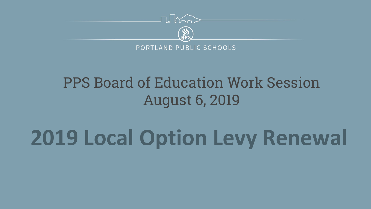

#### PPS Board of Education Work Session August 6, 2019

# **2019 Local Option Levy Renewal**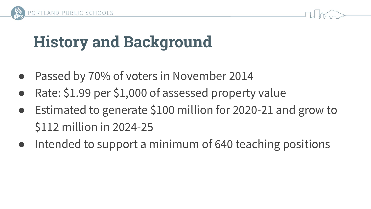

#### **History and Background**

- Passed by 70% of voters in November 2014
- Rate: \$1.99 per \$1,000 of assessed property value
- Estimated to generate \$100 million for 2020-21 and grow to \$112 million in 2024-25
- Intended to support a minimum of 640 teaching positions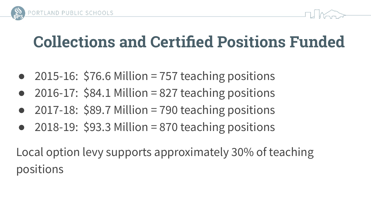



# **Collections and Certified Positions Funded**

- 2015-16:  $$76.6$  Million = 757 teaching positions
- 2016-17:  $$84.1$  Million = 827 teaching positions
- 2017-18:  $$89.7$  Million = 790 teaching positions
- 2018-19:  $$93.3$  Million = 870 teaching positions

Local option levy supports approximately 30% of teaching positions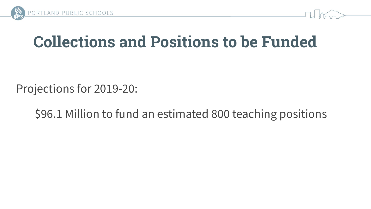



## **Collections and Positions to be Funded**

Projections for 2019-20:

\$96.1 Million to fund an estimated 800 teaching positions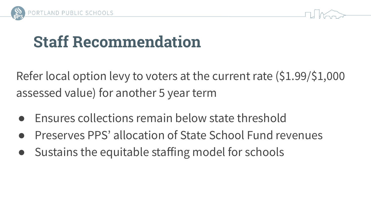



# **Staff Recommendation**

Refer local option levy to voters at the current rate (\$1.99/\$1,000 assessed value) for another 5 year term

- Ensures collections remain below state threshold
- Preserves PPS' allocation of State School Fund revenues
- Sustains the equitable staffing model for schools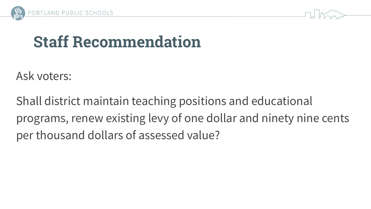



# **Staff Recommendation**

Ask voters:

Shall district maintain teaching positions and educational programs, renew existing levy of one dollar and ninety nine cents per thousand dollars of assessed value?